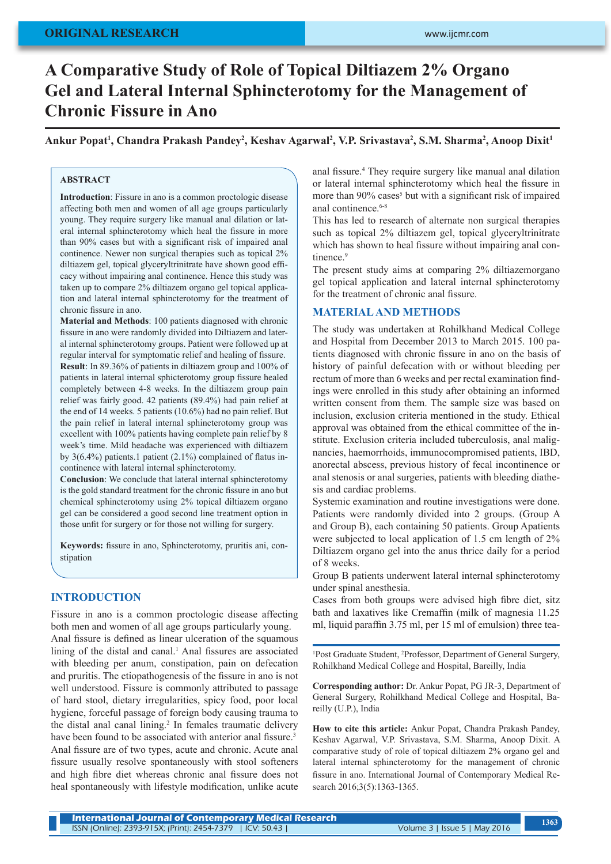# **ORIGINAL RESEARCH**

# **A Comparative Study of Role of Topical Diltiazem 2% Organo Gel and Lateral Internal Sphincterotomy for the Management of Chronic Fissure in Ano**

Ankur Popat<sup>1</sup>, Chandra Prakash Pandey<sup>2</sup>, Keshav Agarwal<sup>2</sup>, V.P. Srivastava<sup>2</sup>, S.M. Sharma<sup>2</sup>, Anoop Dixit<sup>1</sup>

# **ABSTRACT**

**Introduction**: Fissure in ano is a common proctologic disease affecting both men and women of all age groups particularly young. They require surgery like manual anal dilation or lateral internal sphincterotomy which heal the fissure in more than 90% cases but with a significant risk of impaired anal continence. Newer non surgical therapies such as topical 2% diltiazem gel, topical glyceryltrinitrate have shown good efficacy without impairing anal continence. Hence this study was taken up to compare 2% diltiazem organo gel topical application and lateral internal sphincterotomy for the treatment of chronic fissure in ano.

**Material and Methods**: 100 patients diagnosed with chronic fissure in ano were randomly divided into Diltiazem and lateral internal sphincterotomy groups. Patient were followed up at regular interval for symptomatic relief and healing of fissure. **Result**: In 89.36% of patients in diltiazem group and 100% of patients in lateral internal sphicterotomy group fissure healed completely between 4-8 weeks. In the diltiazem group pain relief was fairly good. 42 patients (89.4%) had pain relief at the end of 14 weeks. 5 patients (10.6%) had no pain relief. But the pain relief in lateral internal sphincterotomy group was excellent with 100% patients having complete pain relief by 8 week's time. Mild headache was experienced with diltiazem by 3(6.4%) patients.1 patient (2.1%) complained of flatus incontinence with lateral internal sphincterotomy.

**Conclusion**: We conclude that lateral internal sphincterotomy is the gold standard treatment for the chronic fissure in ano but chemical sphincterotomy using 2% topical diltiazem organo gel can be considered a good second line treatment option in those unfit for surgery or for those not willing for surgery.

**Keywords:** fissure in ano, Sphincterotomy, pruritis ani, constipation

## **INTRODUCTION**

Fissure in ano is a common proctologic disease affecting both men and women of all age groups particularly young. Anal fissure is defined as linear ulceration of the squamous lining of the distal and canal.<sup>1</sup> Anal fissures are associated with bleeding per anum, constipation, pain on defecation and pruritis. The etiopathogenesis of the fissure in ano is not well understood. Fissure is commonly attributed to passage of hard stool, dietary irregularities, spicy food, poor local hygiene, forceful passage of foreign body causing trauma to the distal anal canal lining.<sup>2</sup> In females traumatic delivery have been found to be associated with anterior anal fissure.<sup>3</sup> Anal fissure are of two types, acute and chronic. Acute anal fissure usually resolve spontaneously with stool softeners and high fibre diet whereas chronic anal fissure does not heal spontaneously with lifestyle modification, unlike acute

anal fissure.<sup>4</sup> They require surgery like manual anal dilation or lateral internal sphincterotomy which heal the fissure in more than 90% cases<sup>5</sup> but with a significant risk of impaired anal continence.<sup>6-8</sup>

This has led to research of alternate non surgical therapies such as topical 2% diltiazem gel, topical glyceryltrinitrate which has shown to heal fissure without impairing anal continence<sup>9</sup>

The present study aims at comparing 2% diltiazemorgano gel topical application and lateral internal sphincterotomy for the treatment of chronic anal fissure.

#### **MATERIAL AND METHODS**

The study was undertaken at Rohilkhand Medical College and Hospital from December 2013 to March 2015. 100 patients diagnosed with chronic fissure in ano on the basis of history of painful defecation with or without bleeding per rectum of more than 6 weeks and per rectal examination findings were enrolled in this study after obtaining an informed written consent from them. The sample size was based on inclusion, exclusion criteria mentioned in the study. Ethical approval was obtained from the ethical committee of the institute. Exclusion criteria included tuberculosis, anal malignancies, haemorrhoids, immunocompromised patients, IBD, anorectal abscess, previous history of fecal incontinence or anal stenosis or anal surgeries, patients with bleeding diathesis and cardiac problems.

Systemic examination and routine investigations were done. Patients were randomly divided into 2 groups. (Group A and Group B), each containing 50 patients. Group Apatients were subjected to local application of 1.5 cm length of 2% Diltiazem organo gel into the anus thrice daily for a period of 8 weeks.

Group B patients underwent lateral internal sphincterotomy under spinal anesthesia.

Cases from both groups were advised high fibre diet, sitz bath and laxatives like Cremaffin (milk of magnesia 11.25 ml, liquid paraffin 3.75 ml, per 15 ml of emulsion) three tea-

1 Post Graduate Student, <sup>2</sup> Professor, Department of General Surgery, Rohilkhand Medical College and Hospital, Bareilly, India

**Corresponding author:** Dr. Ankur Popat, PG JR-3, Department of General Surgery, Rohilkhand Medical College and Hospital, Bareilly (U.P.), India

**How to cite this article:** Ankur Popat, Chandra Prakash Pandey, Keshav Agarwal, V.P. Srivastava, S.M. Sharma, Anoop Dixit. A comparative study of role of topical diltiazem 2% organo gel and lateral internal sphincterotomy for the management of chronic fissure in ano. International Journal of Contemporary Medical Research 2016;3(5):1363-1365.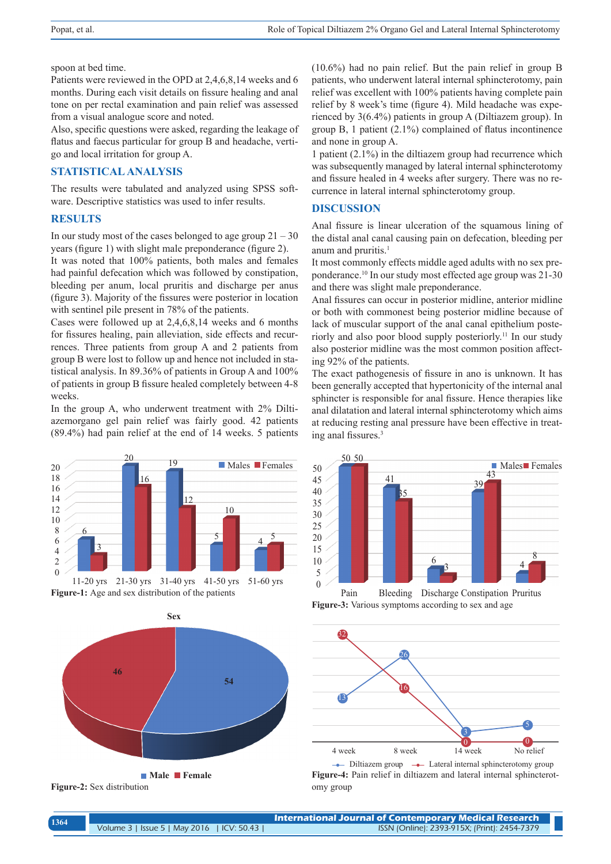spoon at bed time.

Patients were reviewed in the OPD at 2,4,6,8,14 weeks and 6 months. During each visit details on fissure healing and anal tone on per rectal examination and pain relief was assessed from a visual analogue score and noted.

Also, specific questions were asked, regarding the leakage of flatus and faecus particular for group B and headache, vertigo and local irritation for group A.

#### **STATISTICAL ANALYSIS**

The results were tabulated and analyzed using SPSS software. Descriptive statistics was used to infer results.

## **RESULTS**

In our study most of the cases belonged to age group  $21 - 30$ years (figure 1) with slight male preponderance (figure 2).

It was noted that 100% patients, both males and females had painful defecation which was followed by constipation, bleeding per anum, local pruritis and discharge per anus (figure 3). Majority of the fissures were posterior in location with sentinel pile present in 78% of the patients.

Cases were followed up at 2,4,6,8,14 weeks and 6 months for fissures healing, pain alleviation, side effects and recurrences. Three patients from group A and 2 patients from group B were lost to follow up and hence not included in statistical analysis. In 89.36% of patients in Group A and 100% of patients in group B fissure healed completely between 4-8 weeks.

In the group A, who underwent treatment with 2% Diltiazemorgano gel pain relief was fairly good. 42 patients (89.4%) had pain relief at the end of 14 weeks. 5 patients







(10.6%) had no pain relief. But the pain relief in group B patients, who underwent lateral internal sphincterotomy, pain relief was excellent with 100% patients having complete pain relief by 8 week's time (figure 4). Mild headache was experienced by 3(6.4%) patients in group A (Diltiazem group). In group B, 1 patient (2.1%) complained of flatus incontinence and none in group A.

1 patient (2.1%) in the diltiazem group had recurrence which was subsequently managed by lateral internal sphincterotomy and fissure healed in 4 weeks after surgery. There was no recurrence in lateral internal sphincterotomy group.

#### **DISCUSSION**

Anal fissure is linear ulceration of the squamous lining of the distal anal canal causing pain on defecation, bleeding per anum and pruritis.<sup>1</sup>

It most commonly effects middle aged adults with no sex preponderance.10 In our study most effected age group was 21-30 and there was slight male preponderance.

Anal fissures can occur in posterior midline, anterior midline or both with commonest being posterior midline because of lack of muscular support of the anal canal epithelium posteriorly and also poor blood supply posteriorly.11 In our study also posterior midline was the most common position affecting 92% of the patients.

The exact pathogenesis of fissure in ano is unknown. It has been generally accepted that hypertonicity of the internal anal sphincter is responsible for anal fissure. Hence therapies like anal dilatation and lateral internal sphincterotomy which aims at reducing resting anal pressure have been effective in treating anal fissures.<sup>3</sup>



**Figure-3:** Various symptoms according to sex and age Pain Bleeding Discharge Constipation Pruritus



- Diltiazem group - Lateral internal sphincterotomy group **Figure-4:** Pain relief in diltiazem and lateral internal sphincterotomy group